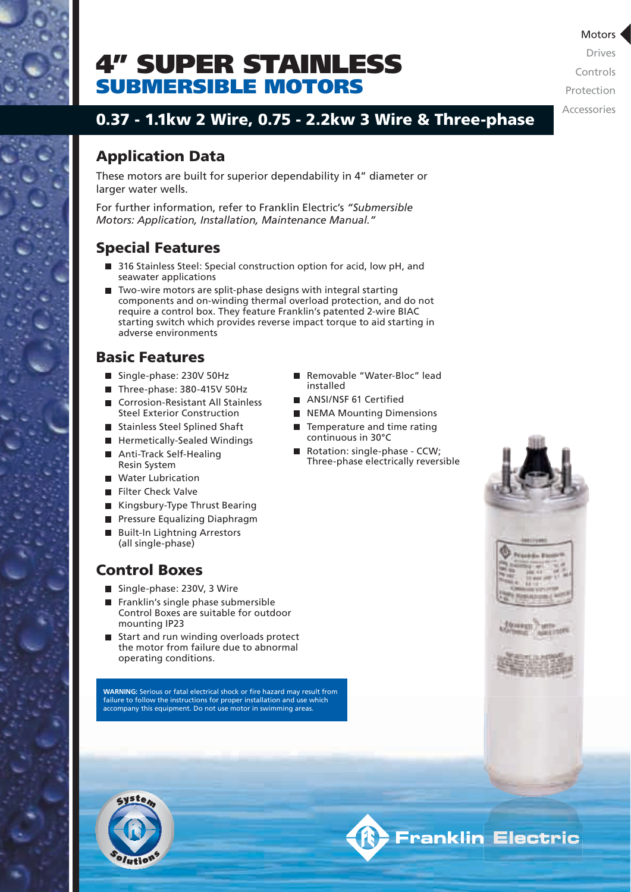

# SUBMERSIBLE MOTORS 4" SUPER STAINLESS

0.37 - 1.1kw 2 Wire, 0.75 - 2.2kw 3 Wire & Three-phase

## Application Data

These motors are built for superior dependability in 4" diameter or larger water wells.

For further information, refer to Franklin Electric's *"Submersible Motors: Application, Installation, Maintenance Manual."*

## Special Features

- 316 Stainless Steel: Special construction option for acid, low pH, and seawater applications
- Two-wire motors are split-phase designs with integral starting components and on-winding thermal overload protection, and do not require a control box. They feature Franklin's patented 2-wire BIAC starting switch which provides reverse impact torque to aid starting in adverse environments

## Basic Features

- Single-phase: 230V 50Hz
- Three-phase: 380-415V 50Hz
- Corrosion-Resistant All Stainless
- Steel Exterior Construction
- Stainless Steel Splined Shaft
- **Hermetically-Sealed Windings**
- Anti-Track Self-Healing Resin System
- **Water Lubrication**
- Filter Check Valve
- Kingsbury-Type Thrust Bearing
- **Pressure Equalizing Diaphragm**
- Built-In Lightning Arrestors (all single-phase)

### Control Boxes

- Single-phase: 230V, 3 Wire
- Franklin's single phase submersible Control Boxes are suitable for outdoor mounting IP23
- Start and run winding overloads protect the motor from failure due to abnormal operating conditions.

**WARNING:** Serious or fatal electrical shock or fire hazard may result from failure to follow the instructions for proper installation and use which accompany this equipment. Do not use motor in swimming areas.



- ANSI/NSF 61 Certified
- NEMA Mounting Dimensions
- Temperature and time rating continuous in 30°C
- Rotation: single-phase CCW; Three-phase electrically reversible







Drives Controls Protection Accessories

### Motors